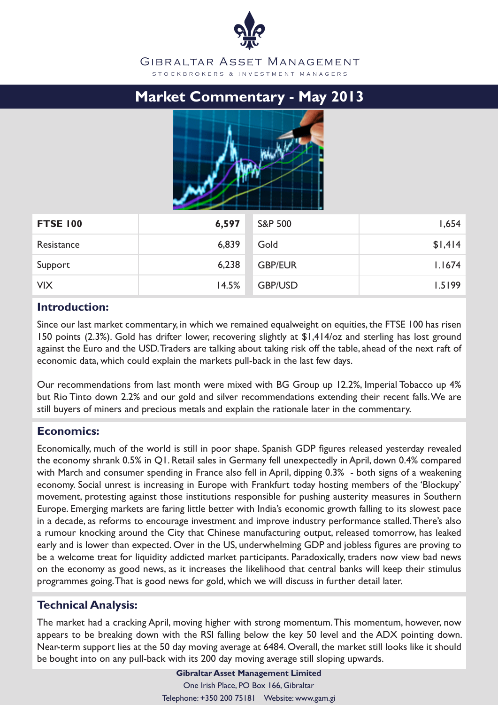#### GIBRALTAR ASSET MANAGEMENT S T O C K B R O K E R S & IN V E S T M E N T M A N A G E R S

# **Market Commentary - May 2013**



| <b>FTSE 100</b> | 6,597 | <b>S&amp;P 500</b> | 1,654   |
|-----------------|-------|--------------------|---------|
| Resistance      | 6,839 | Gold               | \$1,414 |
| Support         | 6,238 | <b>GBP/EUR</b>     | 1.1674  |
| <b>VIX</b>      | 14.5% | <b>GBP/USD</b>     | 1.5199  |

### **Introduction:**

Since our last market commentary, in which we remained equalweight on equities, the FTSE 100 has risen 150 points (2.3%). Gold has drifter lower, recovering slightly at \$1,414/oz and sterling has lost ground against the Euro and the USD. Traders are talking about taking risk off the table, ahead of the next raft of economic data, which could explain the markets pull-back in the last few days.

Our recommendations from last month were mixed with BG Group up 12.2%, Imperial Tobacco up 4% but Rio Tinto down 2.2% and our gold and silver recommendations extending their recent falls. We are still buyers of miners and precious metals and explain the rationale later in the commentary.

# **Economics:**

Economically, much of the world is still in poor shape. Spanish GDP figures released yesterday revealed the economy shrank 0.5% in Q1. Retail sales in Germany fell unexpectedly in April, down 0.4% compared with March and consumer spending in France also fell in April, dipping 0.3% - both signs of a weakening economy. Social unrest is increasing in Europe with Frankfurt today hosting members of the 'Blockupy' movement, protesting against those institutions responsible for pushing austerity measures in Southern Europe. Emerging markets are faring little better with India's economic growth falling to its slowest pace in a decade, as reforms to encourage investment and improve industry performance stalled. There's also a rumour knocking around the City that Chinese manufacturing output, released tomorrow, has leaked early and is lower than expected. Over in the US, underwhelming GDP and jobless figures are proving to be a welcome treat for liquidity addicted market participants. Paradoxically, traders now view bad news on the economy as good news, as it increases the likelihood that central banks will keep their stimulus programmes going. That is good news for gold, which we will discuss in further detail later.

# **Technical Analysis:**

The market had a cracking April, moving higher with strong momentum. This momentum, however, now appears to be breaking down with the RSI falling below the key 50 level and the ADX pointing down. Near-term support lies at the 50 day moving average at 6484. Overall, the market still looks like it should be bought into on any pull-back with its 200 day moving average still sloping upwards.

> **Gibraltar Asset Management Limited** One Irish Place, PO Box 166, Gibraltar Telephone: +350 200 75181 Website: www.gam.gi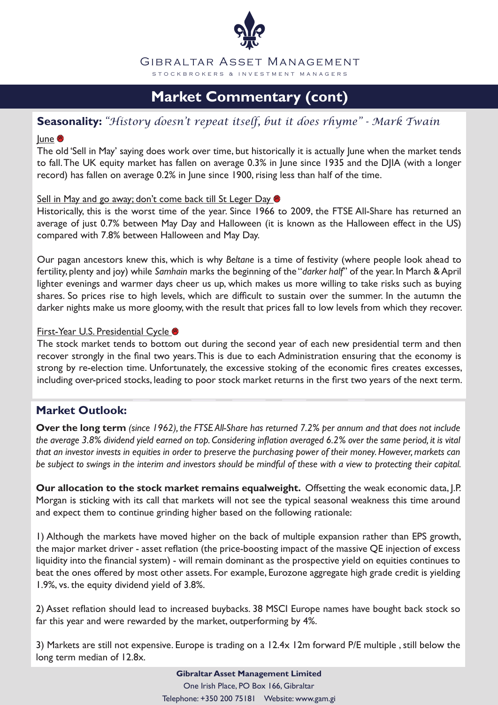

# **Market Commentary (cont)**

## **Seasonality:** *"History doesn't repeat itself, but it does rhyme" - Mark Twain*

#### lune<sup>®</sup>

The old 'Sell in May' saying does work over time, but historically it is actually June when the market tends to fall. The UK equity market has fallen on average 0.3% in June since 1935 and the DJIA (with a longer record) has fallen on average 0.2% in June since 1900, rising less than half of the time.

#### Sell in May and go away; don't come back till St Leger Day  $\bullet$

Historically, this is the worst time of the year. Since 1966 to 2009, the FTSE All-Share has returned an average of just 0.7% between May Day and Halloween (it is known as the Halloween effect in the US) compared with 7.8% between Halloween and May Day.

Our pagan ancestors knew this, which is why *Beltane* is a time of festivity (where people look ahead to fertility, plenty and joy) while *Samhain* marks the beginning of the "*darker half*" of the year. In March & April lighter evenings and warmer days cheer us up, which makes us more willing to take risks such as buying shares. So prices rise to high levels, which are difficult to sustain over the summer. In the autumn the darker nights make us more gloomy, with the result that prices fall to low levels from which they recover.

#### **First-Year U.S. Presidential Cycle &**

The stock market tends to bottom out during the second year of each new presidential term and then recover strongly in the final two years. This is due to each Administration ensuring that the economy is strong by re-election time. Unfortunately, the excessive stoking of the economic fires creates excesses, including over-priced stocks, leading to poor stock market returns in the first two years of the next term.

# **Market Outlook:**

**Over the long term** *(since 1962), the FTSE All-Share has returned 7.2% per annum and that does not include the average 3.8% dividend yield earned on top. Considering inflation averaged 6.2% over the same period, it is vital that an investor invests in equities in order to preserve the purchasing power of their money. However, markets can be subject to swings in the interim and investors should be mindful of these with a view to protecting their capital.* 

**Our allocation to the stock market remains equalweight.** Offsetting the weak economic data, J.P. Morgan is sticking with its call that markets will not see the typical seasonal weakness this time around and expect them to continue grinding higher based on the following rationale:

1) Although the markets have moved higher on the back of multiple expansion rather than EPS growth, the major market driver - asset reflation (the price-boosting impact of the massive QE injection of excess liquidity into the financial system) - will remain dominant as the prospective yield on equities continues to beat the ones offered by most other assets. For example, Eurozone aggregate high grade credit is yielding 1.9%, vs. the equity dividend yield of 3.8%.

2) Asset reflation should lead to increased buybacks. 38 MSCI Europe names have bought back stock so far this year and were rewarded by the market, outperforming by 4%.

3) Markets are still not expensive. Europe is trading on a 12.4x 12m forward P/E multiple , still below the long term median of 12.8x.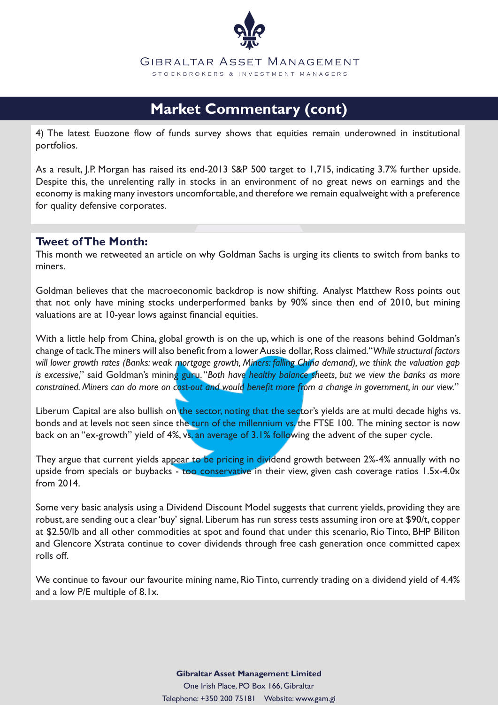

# **Market Commentary (cont)**

4) The latest Euozone flow of funds survey shows that equities remain underowned in institutional portfolios.

As a result, J.P. Morgan has raised its end-2013 S&P 500 target to 1,715, indicating 3.7% further upside. Despite this, the unrelenting rally in stocks in an environment of no great news on earnings and the economy is making many investors uncomfortable, and therefore we remain equalweight with a preference for quality defensive corporates.

#### **Tweet of The Month:**

This month we retweeted an article on why Goldman Sachs is urging its clients to switch from banks to miners.

Goldman believes that the macroeconomic backdrop is now shifting. Analyst Matthew Ross points out that not only have mining stocks underperformed banks by 90% since then end of 2010, but mining valuations are at 10-year lows against financial equities.

With a little help from China, global growth is on the up, which is one of the reasons behind Goldman's change of tack. The miners will also benefit from a lower Aussie dollar, Ross claimed. "*While structural factors will lower growth rates (Banks: weak mortgage growth, Miners: falling China demand), we think the valuation gap is excessive*," said Goldman's mining guru. "*Both have healthy balance sheets, but we view the banks as more constrained. Miners can do more on cost-out and would benefit more from a change in government, in our view.*"

Liberum Capital are also bullish on the sector, noting that the sector's yields are at multi decade highs vs. bonds and at levels not seen since the turn of the millennium vs. the FTSE 100. The mining sector is now back on an "ex-growth" yield of 4%, vs. an average of 3.1% following the advent of the super cycle.

They argue that current yields appear to be pricing in dividend growth between 2%-4% annually with no upside from specials or buybacks - too conservative in their view, given cash coverage ratios 1.5x-4.0x from 2014.

Some very basic analysis using a Dividend Discount Model suggests that current yields, providing they are robust, are sending out a clear 'buy' signal. Liberum has run stress tests assuming iron ore at \$90/t, copper at \$2.50/lb and all other commodities at spot and found that under this scenario, Rio Tinto, BHP Biliton and Glencore Xstrata continue to cover dividends through free cash generation once committed capex rolls off.

We continue to favour our favourite mining name, Rio Tinto, currently trading on a dividend yield of 4.4% and a low P/E multiple of 8.1x.

> **Gibraltar Asset Management Limited** One Irish Place, PO Box 166, Gibraltar Telephone: +350 200 75181 Website: www.gam.gi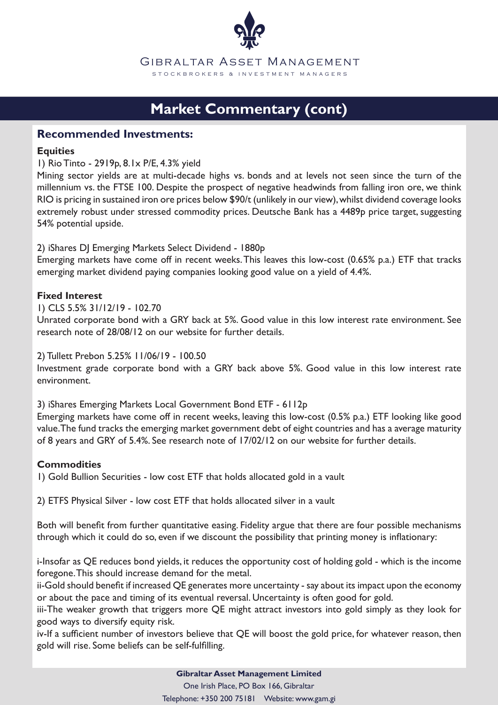

# **Market Commentary (cont)**

#### **Recommended Investments:**

#### **Equities**

1) Rio Tinto - 2919p, 8.1x P/E, 4.3% yield

Mining sector yields are at multi-decade highs vs. bonds and at levels not seen since the turn of the millennium vs. the FTSE 100. Despite the prospect of negative headwinds from falling iron ore, we think RIO is pricing in sustained iron ore prices below \$90/t (unlikely in our view), whilst dividend coverage looks extremely robust under stressed commodity prices. Deutsche Bank has a 4489p price target, suggesting 54% potential upside.

2) iShares DJ Emerging Markets Select Dividend - 1880p

Emerging markets have come off in recent weeks. This leaves this low-cost (0.65% p.a.) ETF that tracks emerging market dividend paying companies looking good value on a yield of 4.4%.

#### **Fixed Interest**

1) CLS 5.5% 31/12/19 - 102.70

Unrated corporate bond with a GRY back at 5%. Good value in this low interest rate environment. See research note of 28/08/12 on our website for further details.

#### 2) Tullett Prebon 5.25% 11/06/19 - 100.50

Investment grade corporate bond with a GRY back above 5%. Good value in this low interest rate environment.

3) iShares Emerging Markets Local Government Bond ETF - 6112p

Emerging markets have come off in recent weeks, leaving this low-cost (0.5% p.a.) ETF looking like good value. The fund tracks the emerging market government debt of eight countries and has a average maturity of 8 years and GRY of 5.4%. See research note of 17/02/12 on our website for further details.

#### **Commodities**

1) Gold Bullion Securities - low cost ETF that holds allocated gold in a vault

2) ETFS Physical Silver - low cost ETF that holds allocated silver in a vault

Both will benefit from further quantitative easing. Fidelity argue that there are four possible mechanisms through which it could do so, even if we discount the possibility that printing money is inflationary:

i-Insofar as QE reduces bond yields, it reduces the opportunity cost of holding gold - which is the income foregone. This should increase demand for the metal.

ii-Gold should benefit if increased QE generates more uncertainty - say about its impact upon the economy or about the pace and timing of its eventual reversal. Uncertainty is often good for gold.

iii-The weaker growth that triggers more QE might attract investors into gold simply as they look for good ways to diversify equity risk.

iv-If a sufficient number of investors believe that QE will boost the gold price, for whatever reason, then gold will rise. Some beliefs can be self-fulfilling.

> **Gibraltar Asset Management Limited** One Irish Place, PO Box 166, Gibraltar

Telephone: +350 200 75181 Website: www.gam.gi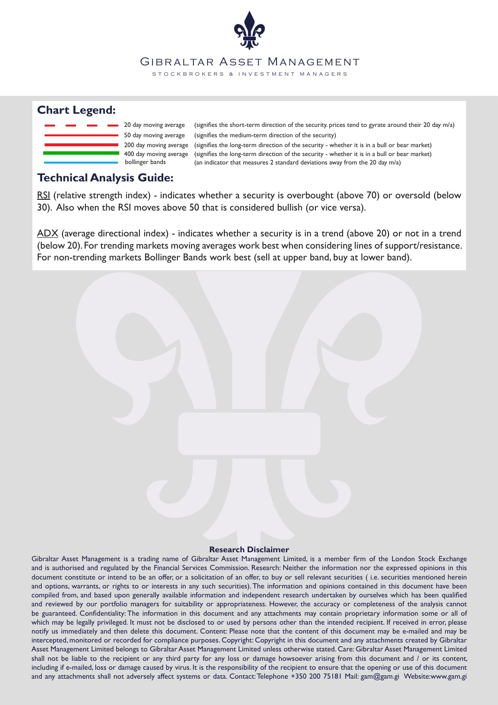#### GIBRALTAR ASSET MANAGEMENT

S T O C K B R O K E R S & IN V E S T M E N T M A N A G E R S

### **Chart Legend:**



bollinger bands (an indicator that measures 2 standard deviations away from the 20 day m/a) (signifies the long-term direction of the security - whether it is in a bull or bear market) (signifies the medium-term direction of the security) (signifies the short-term direction of the security. prices tend to gyrate around their 20 day m/a) 400 day moving average (signifies the long-term direction of the security - whether it is in a bull or bear market)

### **Technical Analysis Guide:**

RSI (relative strength index) - indicates whether a security is overbought (above 70) or oversold (below 30). Also when the RSI moves above 50 that is considered bullish (or vice versa).

ADX (average directional index) - indicates whether a security is in a trend (above 20) or not in a trend (below 20). For trending markets moving averages work best when considering lines of support/resistance. For non-trending markets Bollinger Bands work best (sell at upper band, buy at lower band).

#### **Research Disclaimer**

Gibraltar Asset Management is a trading name of Gibraltar Asset Management Limited, is a member firm of the London Stock Exchange and is authorised and regulated by the Financial Services Commission. Research: Neither the information nor the expressed opinions in this document constitute or intend to be an offer, or a solicitation of an offer, to buy or sell relevant securities (i.e. securities mentioned herein and options, warrants, or rights to or interests in any such securities). The information and opinions contained in this document have been compiled from, and based upon generally available information and independent research undertaken by ourselves which has been qualified and reviewed by our portfolio managers for suitability or appropriateness. However, the accuracy or completeness of the analysis cannot be guaranteed. Confidentiality: The information in this document and any attachments may contain proprietary information some or all of which may be legally privileged. It must not be disclosed to or used by persons other than the intended recipient. If received in error, please notify us immediately and then delete this document. Content: Please note that the content of this document may be e-mailed and may be intercepted, monitored or recorded for compliance purposes. Copyright: Copyright in this document and any attachments created by Gibraltar Asset Management Limited belongs to Gibraltar Asset Management Limited unless otherwise stated. Care: Gibraltar Asset Management Limited shall not be liable to the recipient or any third party for any loss or damage howsoever arising from this document and / or its content, including if e-mailed, loss or damage caused by virus. It is the responsibility of the recipient to ensure that the opening or use of this document and any attachments shall not adversely affect systems or data. Contact: Telephone +350 200 75181 Mail: gam@gam.gi Website:www.gam.gi